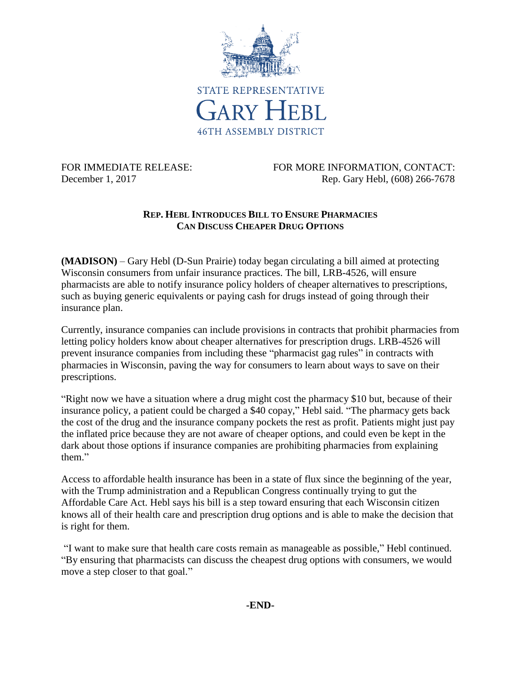

FOR IMMEDIATE RELEASE: FOR MORE INFORMATION, CONTACT: December 1, 2017 Rep. Gary Hebl, (608) 266-7678

## **REP. HEBL INTRODUCES BILL TO ENSURE PHARMACIES CAN DISCUSS CHEAPER DRUG OPTIONS**

**(MADISON)** – Gary Hebl (D-Sun Prairie) today began circulating a bill aimed at protecting Wisconsin consumers from unfair insurance practices. The bill, LRB-4526, will ensure pharmacists are able to notify insurance policy holders of cheaper alternatives to prescriptions, such as buying generic equivalents or paying cash for drugs instead of going through their insurance plan.

Currently, insurance companies can include provisions in contracts that prohibit pharmacies from letting policy holders know about cheaper alternatives for prescription drugs. LRB-4526 will prevent insurance companies from including these "pharmacist gag rules" in contracts with pharmacies in Wisconsin, paving the way for consumers to learn about ways to save on their prescriptions.

"Right now we have a situation where a drug might cost the pharmacy \$10 but, because of their insurance policy, a patient could be charged a \$40 copay," Hebl said. "The pharmacy gets back the cost of the drug and the insurance company pockets the rest as profit. Patients might just pay the inflated price because they are not aware of cheaper options, and could even be kept in the dark about those options if insurance companies are prohibiting pharmacies from explaining them."

Access to affordable health insurance has been in a state of flux since the beginning of the year, with the Trump administration and a Republican Congress continually trying to gut the Affordable Care Act. Hebl says his bill is a step toward ensuring that each Wisconsin citizen knows all of their health care and prescription drug options and is able to make the decision that is right for them.

"I want to make sure that health care costs remain as manageable as possible," Hebl continued. "By ensuring that pharmacists can discuss the cheapest drug options with consumers, we would move a step closer to that goal."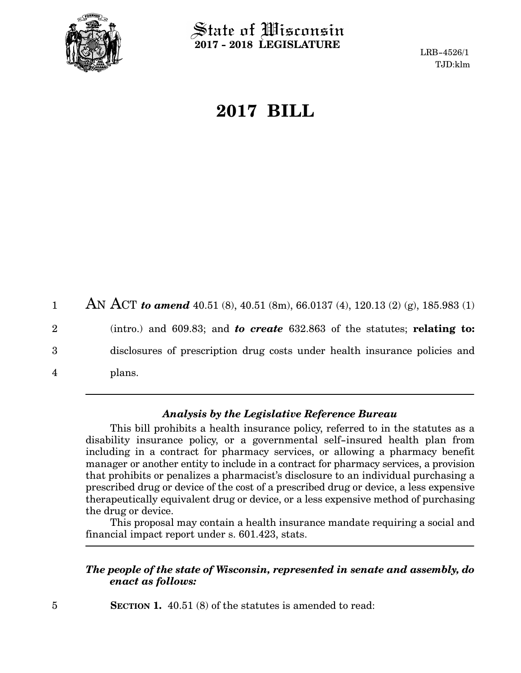

 $\operatorname{\mathsf{State}}$  of Wisconsin **2017 - 2018 LEGISLATURE**

LRB-4526/1 TJD:klm

# **2017 BILL**

AN ACT *to amend* 40.51 (8), 40.51 (8m), 66.0137 (4), 120.13 (2) (g), 185.983 (1) (intro.) and 609.83; and *to create* 632.863 of the statutes; **relating to:** disclosures of prescription drug costs under health insurance policies and plans. 1 2 3 4

## *Analysis by the Legislative Reference Bureau*

This bill prohibits a health insurance policy, referred to in the statutes as a disability insurance policy, or a governmental self-insured health plan from including in a contract for pharmacy services, or allowing a pharmacy benefit manager or another entity to include in a contract for pharmacy services, a provision that prohibits or penalizes a pharmacist's disclosure to an individual purchasing a prescribed drug or device of the cost of a prescribed drug or device, a less expensive therapeutically equivalent drug or device, or a less expensive method of purchasing the drug or device.

This proposal may contain a health insurance mandate requiring a social and financial impact report under s. 601.423, stats.

## *The people of the state of Wisconsin, represented in senate and assembly, do enact as follows:*

**SECTION 1.** 40.51 (8) of the statutes is amended to read: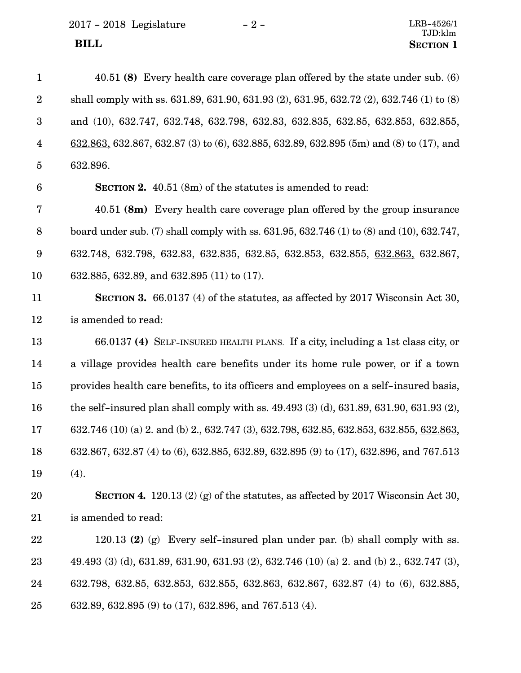2017 - 2018 Legislature - 2 -

| $\mathbf{1}$    | 40.51 (8) Every health care coverage plan offered by the state under sub. (6)                    |
|-----------------|--------------------------------------------------------------------------------------------------|
| $\sqrt{2}$      | shall comply with ss. 631.89, 631.90, 631.93 (2), 631.95, 632.72 (2), 632.746 (1) to (8)         |
| 3               | and (10), 632.747, 632.748, 632.798, 632.83, 632.835, 632.85, 632.853, 632.855,                  |
| $\overline{4}$  | $632.863$ , 632.867, 632.87 (3) to (6), 632.885, 632.89, 632.895 (5m) and (8) to (17), and       |
| $\overline{5}$  | 632.896.                                                                                         |
| 6               | <b>SECTION 2.</b> 40.51 (8m) of the statutes is amended to read:                                 |
| 7               | 40.51 (8m) Every health care coverage plan offered by the group insurance                        |
| $8\,$           | board under sub. (7) shall comply with ss. $631.95$ , $632.746$ (1) to (8) and (10), $632.747$ , |
| $9\phantom{.0}$ | 632.748, 632.798, 632.83, 632.835, 632.85, 632.853, 632.855, 632.863, 632.867,                   |
| 10              | 632.885, 632.89, and 632.895 (11) to (17).                                                       |
| 11              | <b>SECTION 3.</b> 66.0137 (4) of the statutes, as affected by 2017 Wisconsin Act 30,             |
| 12              | is amended to read:                                                                              |
| 13              | 66.0137 (4) SELF-INSURED HEALTH PLANS. If a city, including a 1st class city, or                 |
| 14              | a village provides health care benefits under its home rule power, or if a town                  |
| 15              | provides health care benefits, to its officers and employees on a self-insured basis,            |
| 16              | the self-insured plan shall comply with ss. $49.493(3)(d)$ , $631.89$ , $631.90$ , $631.93(2)$ , |
| 17              | 632.746 (10) (a) 2. and (b) 2., 632.747 (3), 632.798, 632.85, 632.853, 632.855, 632.863,         |
| 18              | 632.867, 632.87 (4) to (6), 632.885, 632.89, 632.895 (9) to (17), 632.896, and 767.513           |
| 19              | (4).                                                                                             |
| 20              | <b>SECTION 4.</b> 120.13 (2) (g) of the statutes, as affected by 2017 Wisconsin Act 30,          |
| 21              | is amended to read:                                                                              |
| 22              | 120.13 (2) (g) Every self-insured plan under par. (b) shall comply with ss.                      |
| 23              | 49.493 (3) (d), 631.89, 631.90, 631.93 (2), 632.746 (10) (a) 2. and (b) 2., 632.747 (3),         |
| 24              | 632.798, 632.85, 632.853, 632.855, 632.863, 632.867, 632.87 (4) to (6), 632.885,                 |
| 25              | 632.89, 632.895 (9) to (17), 632.896, and 767.513 (4).                                           |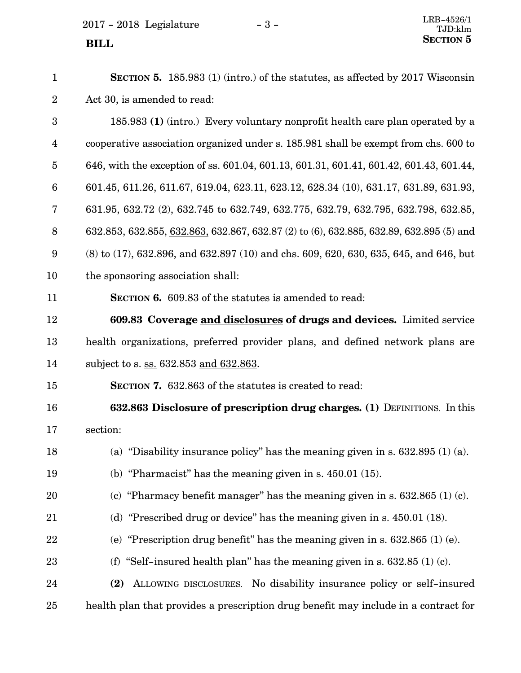2017 - 2018 Legislature - 3 -

| $\mathbf{1}$            | <b>SECTION 5.</b> 185.983 (1) (intro.) of the statutes, as affected by 2017 Wisconsin        |
|-------------------------|----------------------------------------------------------------------------------------------|
| $\overline{2}$          | Act 30, is amended to read:                                                                  |
| 3                       | 185.983 (1) (intro.) Every voluntary nonprofit health care plan operated by a                |
| $\overline{\mathbf{4}}$ | cooperative association organized under s. 185.981 shall be exempt from chs. 600 to          |
| $\overline{5}$          | 646, with the exception of ss. 601.04, 601.13, 601.31, 601.41, 601.42, 601.43, 601.44,       |
| $6\phantom{.}6$         | 601.45, 611.26, 611.67, 619.04, 623.11, 623.12, 628.34 (10), 631.17, 631.89, 631.93,         |
| 7                       | 631.95, 632.72 (2), 632.745 to 632.749, 632.775, 632.79, 632.795, 632.798, 632.85,           |
| 8                       | 632.853, 632.855, 632.863, 632.867, 632.87 (2) to (6), 632.885, 632.89, 632.895 (5) and      |
| 9                       | $(8)$ to $(17)$ , 632.896, and 632.897 $(10)$ and chs. 609, 620, 630, 635, 645, and 646, but |
| 10                      | the sponsoring association shall:                                                            |
| 11                      | <b>SECTION 6.</b> 609.83 of the statutes is amended to read:                                 |
| 12                      | 609.83 Coverage and disclosures of drugs and devices. Limited service                        |
| 13                      | health organizations, preferred provider plans, and defined network plans are                |
| 14                      | subject to s. ss. 632.853 and 632.863.                                                       |
| 15                      | <b>SECTION 7.</b> 632.863 of the statutes is created to read:                                |
| 16                      | 632.863 Disclosure of prescription drug charges. (1) DEFINITIONS. In this                    |
| 17                      | section:                                                                                     |
| 18                      | (a) "Disability insurance policy" has the meaning given in s. $632.895$ (1) (a).             |
| 19                      | (b) "Pharmacist" has the meaning given in s. $450.01$ (15).                                  |
| 20                      | (c) "Pharmacy benefit manager" has the meaning given in s. $632.865$ (1) (c).                |
| 21                      | (d) "Prescribed drug or device" has the meaning given in s. $450.01$ (18).                   |
| 22                      | (e) "Prescription drug benefit" has the meaning given in s. $632.865$ (1) (e).               |
| 23                      | (f) "Self-insured health plan" has the meaning given in s. $632.85$ (1) (c).                 |
| 24                      | ALLOWING DISCLOSURES. No disability insurance policy or self-insured<br>(2)                  |
| 25                      | health plan that provides a prescription drug benefit may include in a contract for          |